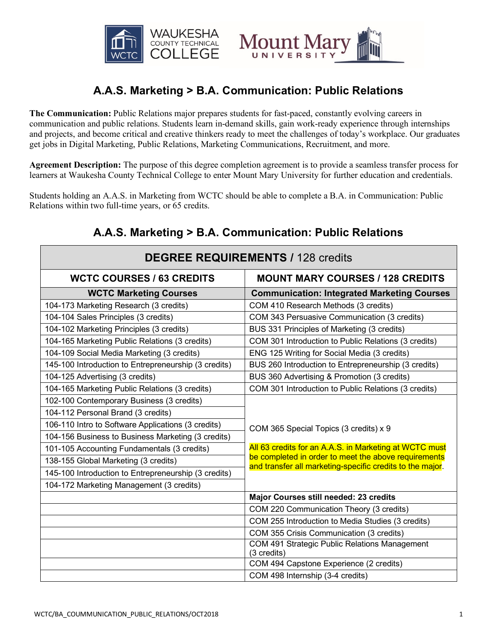

# Iount Ma UNIVERSIT

# **A.A.S. Marketing > B.A. Communication: Public Relations**

**The Communication:** Public Relations major prepares students for fast-paced, constantly evolving careers in communication and public relations. Students learn in-demand skills, gain work-ready experience through internships and projects, and become critical and creative thinkers ready to meet the challenges of today's workplace. Our graduates get jobs in Digital Marketing, Public Relations, Marketing Communications, Recruitment, and more.

**Agreement Description:** The purpose of this degree completion agreement is to provide a seamless transfer process for learners at Waukesha County Technical College to enter Mount Mary University for further education and credentials.

Students holding an A.A.S. in Marketing from WCTC should be able to complete a B.A. in Communication: Public Relations within two full-time years, or 65 credits.

## **A.A.S. Marketing > B.A. Communication: Public Relations**

| <b>DEGREE REQUIREMENTS / 128 credits</b>             |                                                                                                                   |
|------------------------------------------------------|-------------------------------------------------------------------------------------------------------------------|
| <b>WCTC COURSES / 63 CREDITS</b>                     | <b>MOUNT MARY COURSES / 128 CREDITS</b>                                                                           |
| <b>WCTC Marketing Courses</b>                        | <b>Communication: Integrated Marketing Courses</b>                                                                |
| 104-173 Marketing Research (3 credits)               | COM 410 Research Methods (3 credits)                                                                              |
| 104-104 Sales Principles (3 credits)                 | COM 343 Persuasive Communication (3 credits)                                                                      |
| 104-102 Marketing Principles (3 credits)             | BUS 331 Principles of Marketing (3 credits)                                                                       |
| 104-165 Marketing Public Relations (3 credits)       | COM 301 Introduction to Public Relations (3 credits)                                                              |
| 104-109 Social Media Marketing (3 credits)           | ENG 125 Writing for Social Media (3 credits)                                                                      |
| 145-100 Introduction to Entrepreneurship (3 credits) | BUS 260 Introduction to Entrepreneurship (3 credits)                                                              |
| 104-125 Advertising (3 credits)                      | BUS 360 Advertising & Promotion (3 credits)                                                                       |
| 104-165 Marketing Public Relations (3 credits)       | COM 301 Introduction to Public Relations (3 credits)                                                              |
| 102-100 Contemporary Business (3 credits)            |                                                                                                                   |
| 104-112 Personal Brand (3 credits)                   |                                                                                                                   |
| 106-110 Intro to Software Applications (3 credits)   | COM 365 Special Topics (3 credits) x 9                                                                            |
| 104-156 Business to Business Marketing (3 credits)   |                                                                                                                   |
| 101-105 Accounting Fundamentals (3 credits)          | All 63 credits for an A.A.S. in Marketing at WCTC must                                                            |
| 138-155 Global Marketing (3 credits)                 | be completed in order to meet the above requirements<br>and transfer all marketing-specific credits to the major. |
| 145-100 Introduction to Entrepreneurship (3 credits) |                                                                                                                   |
| 104-172 Marketing Management (3 credits)             |                                                                                                                   |
|                                                      | Major Courses still needed: 23 credits                                                                            |
|                                                      | COM 220 Communication Theory (3 credits)                                                                          |
|                                                      | COM 255 Introduction to Media Studies (3 credits)                                                                 |
|                                                      | COM 355 Crisis Communication (3 credits)                                                                          |
|                                                      | COM 491 Strategic Public Relations Management                                                                     |
|                                                      | (3 credits)                                                                                                       |
|                                                      | COM 494 Capstone Experience (2 credits)                                                                           |
|                                                      | COM 498 Internship (3-4 credits)                                                                                  |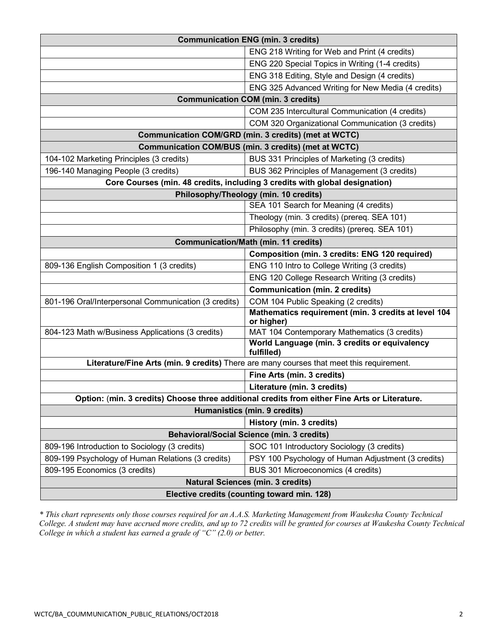| <b>Communication ENG (min. 3 credits)</b>                                                     |                                                                    |  |
|-----------------------------------------------------------------------------------------------|--------------------------------------------------------------------|--|
|                                                                                               | ENG 218 Writing for Web and Print (4 credits)                      |  |
|                                                                                               | ENG 220 Special Topics in Writing (1-4 credits)                    |  |
|                                                                                               | ENG 318 Editing, Style and Design (4 credits)                      |  |
|                                                                                               | ENG 325 Advanced Writing for New Media (4 credits)                 |  |
| <b>Communication COM (min. 3 credits)</b>                                                     |                                                                    |  |
|                                                                                               | COM 235 Intercultural Communication (4 credits)                    |  |
|                                                                                               | COM 320 Organizational Communication (3 credits)                   |  |
| Communication COM/GRD (min. 3 credits) (met at WCTC)                                          |                                                                    |  |
|                                                                                               | Communication COM/BUS (min. 3 credits) (met at WCTC)               |  |
| 104-102 Marketing Principles (3 credits)                                                      | BUS 331 Principles of Marketing (3 credits)                        |  |
| 196-140 Managing People (3 credits)                                                           | BUS 362 Principles of Management (3 credits)                       |  |
| Core Courses (min. 48 credits, including 3 credits with global designation)                   |                                                                    |  |
| Philosophy/Theology (min. 10 credits)                                                         |                                                                    |  |
|                                                                                               | SEA 101 Search for Meaning (4 credits)                             |  |
|                                                                                               | Theology (min. 3 credits) (prereq. SEA 101)                        |  |
|                                                                                               | Philosophy (min. 3 credits) (prereq. SEA 101)                      |  |
| <b>Communication/Math (min. 11 credits)</b>                                                   |                                                                    |  |
|                                                                                               | <b>Composition (min. 3 credits: ENG 120 required)</b>              |  |
| 809-136 English Composition 1 (3 credits)                                                     | ENG 110 Intro to College Writing (3 credits)                       |  |
|                                                                                               | ENG 120 College Research Writing (3 credits)                       |  |
|                                                                                               | <b>Communication (min. 2 credits)</b>                              |  |
| 801-196 Oral/Interpersonal Communication (3 credits)                                          | COM 104 Public Speaking (2 credits)                                |  |
|                                                                                               | Mathematics requirement (min. 3 credits at level 104<br>or higher) |  |
| 804-123 Math w/Business Applications (3 credits)                                              | MAT 104 Contemporary Mathematics (3 credits)                       |  |
|                                                                                               | World Language (min. 3 credits or equivalency<br>fulfilled)        |  |
| Literature/Fine Arts (min. 9 credits) There are many courses that meet this requirement.      |                                                                    |  |
|                                                                                               | Fine Arts (min. 3 credits)                                         |  |
|                                                                                               | Literature (min. 3 credits)                                        |  |
| Option: (min. 3 credits) Choose three additional credits from either Fine Arts or Literature. |                                                                    |  |
| Humanistics (min. 9 credits)                                                                  |                                                                    |  |
|                                                                                               | History (min. 3 credits)                                           |  |
| <b>Behavioral/Social Science (min. 3 credits)</b>                                             |                                                                    |  |
| 809-196 Introduction to Sociology (3 credits)                                                 | SOC 101 Introductory Sociology (3 credits)                         |  |
| 809-199 Psychology of Human Relations (3 credits)                                             | PSY 100 Psychology of Human Adjustment (3 credits)                 |  |
| 809-195 Economics (3 credits)                                                                 | BUS 301 Microeconomics (4 credits)                                 |  |
| <b>Natural Sciences (min. 3 credits)</b>                                                      |                                                                    |  |
| Elective credits (counting toward min. 128)                                                   |                                                                    |  |

*\* This chart represents only those courses required for an A.A.S. Marketing Management from Waukesha County Technical College. A student may have accrued more credits, and up to 72 credits will be granted for courses at Waukesha County Technical College in which a student has earned a grade of "C" (2.0) or better.*